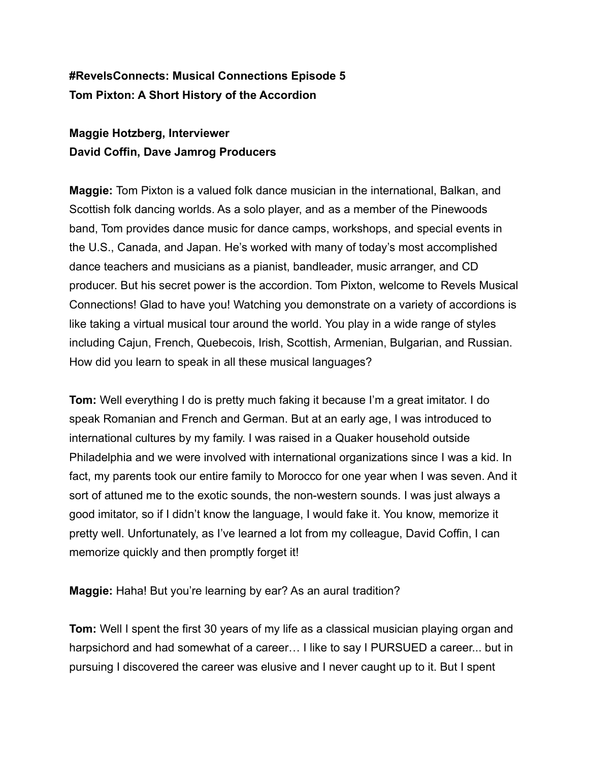## **#RevelsConnects: Musical Connections Episode 5 Tom Pixton: A Short History of the Accordion**

## **Maggie Hotzberg, Interviewer David Coffin, Dave Jamrog Producers**

**Maggie:** Tom Pixton is a valued folk dance musician in the international, Balkan, and Scottish folk dancing worlds. As a solo player, and as a member of the Pinewoods band, Tom provides dance music for dance camps, workshops, and special events in the U.S., Canada, and Japan. He's worked with many of today's most accomplished dance teachers and musicians as a pianist, bandleader, music arranger, and CD producer. But his secret power is the accordion. Tom Pixton, welcome to Revels Musical Connections! Glad to have you! Watching you demonstrate on a variety of accordions is like taking a virtual musical tour around the world. You play in a wide range of styles including Cajun, French, Quebecois, Irish, Scottish, Armenian, Bulgarian, and Russian. How did you learn to speak in all these musical languages?

**Tom:** Well everything I do is pretty much faking it because I'm a great imitator. I do speak Romanian and French and German. But at an early age, I was introduced to international cultures by my family. I was raised in a Quaker household outside Philadelphia and we were involved with international organizations since I was a kid. In fact, my parents took our entire family to Morocco for one year when I was seven. And it sort of attuned me to the exotic sounds, the non-western sounds. I was just always a good imitator, so if I didn't know the language, I would fake it. You know, memorize it pretty well. Unfortunately, as I've learned a lot from my colleague, David Coffin, I can memorize quickly and then promptly forget it!

**Maggie:** Haha! But you're learning by ear? As an aural tradition?

**Tom:** Well I spent the first 30 years of my life as a classical musician playing organ and harpsichord and had somewhat of a career… I like to say I PURSUED a career... but in pursuing I discovered the career was elusive and I never caught up to it. But I spent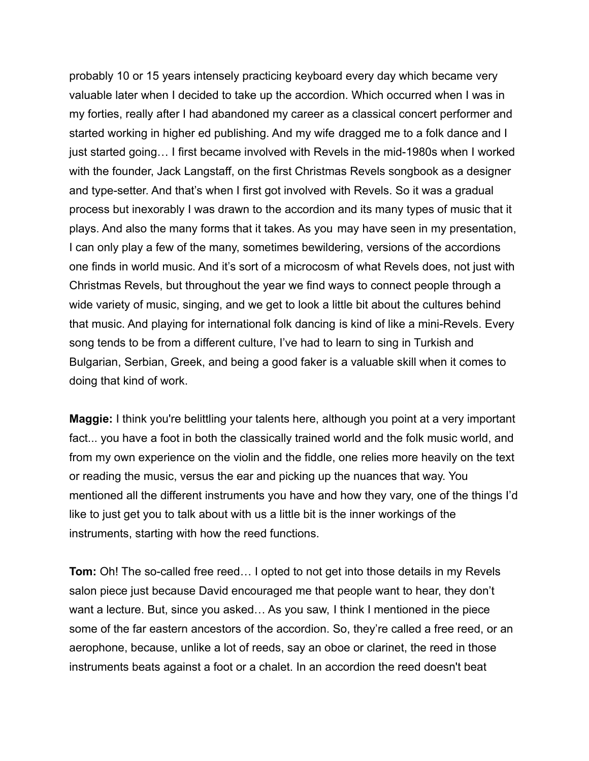probably 10 or 15 years intensely practicing keyboard every day which became very valuable later when I decided to take up the accordion. Which occurred when I was in my forties, really after I had abandoned my career as a classical concert performer and started working in higher ed publishing. And my wife dragged me to a folk dance and I just started going… I first became involved with Revels in the mid-1980s when I worked with the founder, Jack Langstaff, on the first Christmas Revels songbook as a designer and type-setter. And that's when I first got involved with Revels. So it was a gradual process but inexorably I was drawn to the accordion and its many types of music that it plays. And also the many forms that it takes. As you may have seen in my presentation, I can only play a few of the many, sometimes bewildering, versions of the accordions one finds in world music. And it's sort of a microcosm of what Revels does, not just with Christmas Revels, but throughout the year we find ways to connect people through a wide variety of music, singing, and we get to look a little bit about the cultures behind that music. And playing for international folk dancing is kind of like a mini-Revels. Every song tends to be from a different culture, I've had to learn to sing in Turkish and Bulgarian, Serbian, Greek, and being a good faker is a valuable skill when it comes to doing that kind of work.

**Maggie:** I think you're belittling your talents here, although you point at a very important fact... you have a foot in both the classically trained world and the folk music world, and from my own experience on the violin and the fiddle, one relies more heavily on the text or reading the music, versus the ear and picking up the nuances that way. You mentioned all the different instruments you have and how they vary, one of the things I'd like to just get you to talk about with us a little bit is the inner workings of the instruments, starting with how the reed functions.

**Tom:** Oh! The so-called free reed… I opted to not get into those details in my Revels salon piece just because David encouraged me that people want to hear, they don't want a lecture. But, since you asked… As you saw, I think I mentioned in the piece some of the far eastern ancestors of the accordion. So, they're called a free reed, or an aerophone, because, unlike a lot of reeds, say an oboe or clarinet, the reed in those instruments beats against a foot or a chalet. In an accordion the reed doesn't beat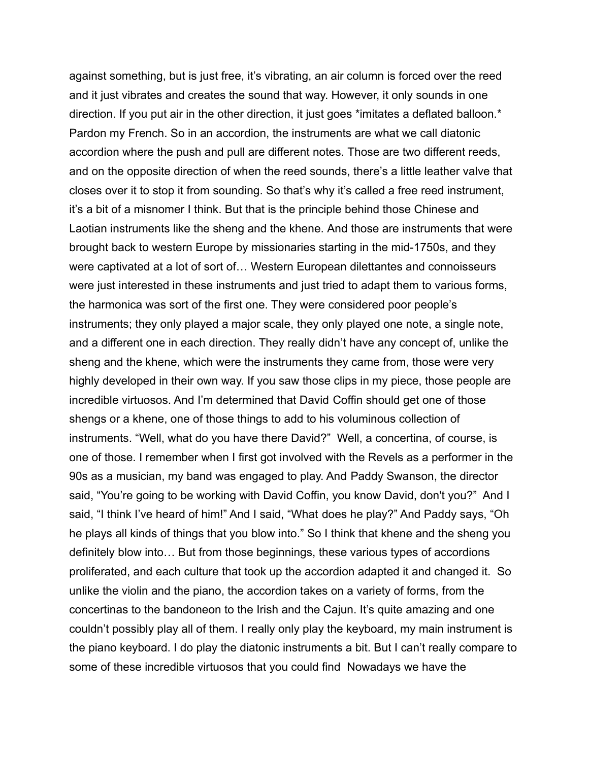against something, but is just free, it's vibrating, an air column is forced over the reed and it just vibrates and creates the sound that way. However, it only sounds in one direction. If you put air in the other direction, it just goes \*imitates a deflated balloon.\* Pardon my French. So in an accordion, the instruments are what we call diatonic accordion where the push and pull are different notes. Those are two different reeds, and on the opposite direction of when the reed sounds, there's a little leather valve that closes over it to stop it from sounding. So that's why it's called a free reed instrument, it's a bit of a misnomer I think. But that is the principle behind those Chinese and Laotian instruments like the sheng and the khene. And those are instruments that were brought back to western Europe by missionaries starting in the mid-1750s, and they were captivated at a lot of sort of… Western European dilettantes and connoisseurs were just interested in these instruments and just tried to adapt them to various forms, the harmonica was sort of the first one. They were considered poor people's instruments; they only played a major scale, they only played one note, a single note, and a different one in each direction. They really didn't have any concept of, unlike the sheng and the khene, which were the instruments they came from, those were very highly developed in their own way. If you saw those clips in my piece, those people are incredible virtuosos. And I'm determined that David Coffin should get one of those shengs or a khene, one of those things to add to his voluminous collection of instruments. "Well, what do you have there David?" Well, a concertina, of course, is one of those. I remember when I first got involved with the Revels as a performer in the 90s as a musician, my band was engaged to play. And Paddy Swanson, the director said, "You're going to be working with David Coffin, you know David, don't you?" And I said, "I think I've heard of him!" And I said, "What does he play?" And Paddy says, "Oh he plays all kinds of things that you blow into." So I think that khene and the sheng you definitely blow into… But from those beginnings, these various types of accordions proliferated, and each culture that took up the accordion adapted it and changed it. So unlike the violin and the piano, the accordion takes on a variety of forms, from the concertinas to the bandoneon to the Irish and the Cajun. It's quite amazing and one couldn't possibly play all of them. I really only play the keyboard, my main instrument is the piano keyboard. I do play the diatonic instruments a bit. But I can't really compare to some of these incredible virtuosos that you could find Nowadays we have the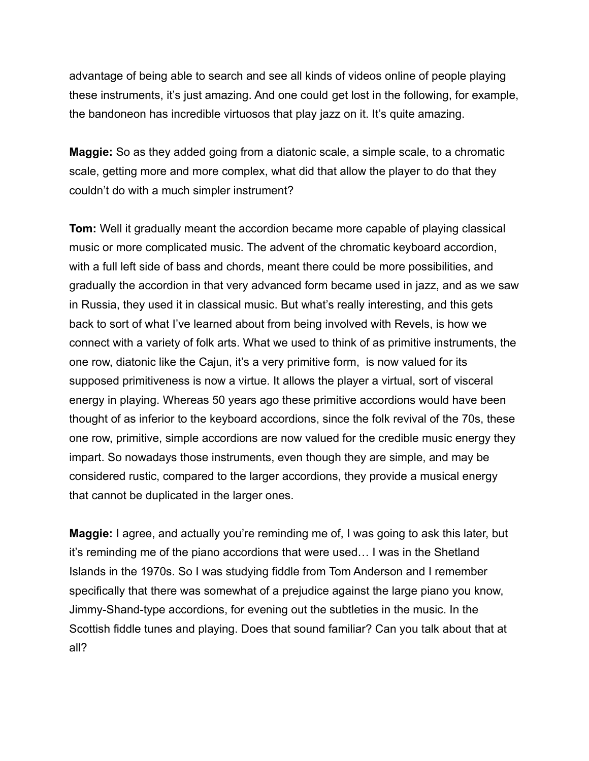advantage of being able to search and see all kinds of videos online of people playing these instruments, it's just amazing. And one could get lost in the following, for example, the bandoneon has incredible virtuosos that play jazz on it. It's quite amazing.

**Maggie:** So as they added going from a diatonic scale, a simple scale, to a chromatic scale, getting more and more complex, what did that allow the player to do that they couldn't do with a much simpler instrument?

**Tom:** Well it gradually meant the accordion became more capable of playing classical music or more complicated music. The advent of the chromatic keyboard accordion, with a full left side of bass and chords, meant there could be more possibilities, and gradually the accordion in that very advanced form became used in jazz, and as we saw in Russia, they used it in classical music. But what's really interesting, and this gets back to sort of what I've learned about from being involved with Revels, is how we connect with a variety of folk arts. What we used to think of as primitive instruments, the one row, diatonic like the Cajun, it's a very primitive form, is now valued for its supposed primitiveness is now a virtue. It allows the player a virtual, sort of visceral energy in playing. Whereas 50 years ago these primitive accordions would have been thought of as inferior to the keyboard accordions, since the folk revival of the 70s, these one row, primitive, simple accordions are now valued for the credible music energy they impart. So nowadays those instruments, even though they are simple, and may be considered rustic, compared to the larger accordions, they provide a musical energy that cannot be duplicated in the larger ones.

**Maggie:** I agree, and actually you're reminding me of, I was going to ask this later, but it's reminding me of the piano accordions that were used… I was in the Shetland Islands in the 1970s. So I was studying fiddle from Tom Anderson and I remember specifically that there was somewhat of a prejudice against the large piano you know, Jimmy-Shand-type accordions, for evening out the subtleties in the music. In the Scottish fiddle tunes and playing. Does that sound familiar? Can you talk about that at all?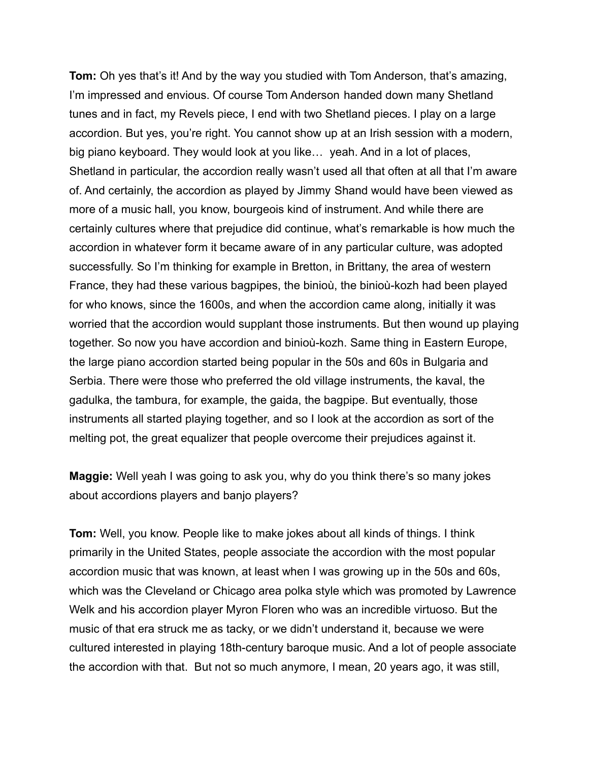**Tom:** Oh yes that's it! And by the way you studied with Tom Anderson, that's amazing, I'm impressed and envious. Of course Tom Anderson handed down many Shetland tunes and in fact, my Revels piece, I end with two Shetland pieces. I play on a large accordion. But yes, you're right. You cannot show up at an Irish session with a modern, big piano keyboard. They would look at you like… yeah. And in a lot of places, Shetland in particular, the accordion really wasn't used all that often at all that I'm aware of. And certainly, the accordion as played by Jimmy Shand would have been viewed as more of a music hall, you know, bourgeois kind of instrument. And while there are certainly cultures where that prejudice did continue, what's remarkable is how much the accordion in whatever form it became aware of in any particular culture, was adopted successfully. So I'm thinking for example in Bretton, in Brittany, the area of western France, they had these various bagpipes, the binioù, the binioù-kozh had been played for who knows, since the 1600s, and when the accordion came along, initially it was worried that the accordion would supplant those instruments. But then wound up playing together. So now you have accordion and binioù-kozh. Same thing in Eastern Europe, the large piano accordion started being popular in the 50s and 60s in Bulgaria and Serbia. There were those who preferred the old village instruments, the kaval, the gadulka, the tambura, for example, the gaida, the bagpipe. But eventually, those instruments all started playing together, and so I look at the accordion as sort of the melting pot, the great equalizer that people overcome their prejudices against it.

**Maggie:** Well yeah I was going to ask you, why do you think there's so many jokes about accordions players and banjo players?

**Tom:** Well, you know. People like to make jokes about all kinds of things. I think primarily in the United States, people associate the accordion with the most popular accordion music that was known, at least when I was growing up in the 50s and 60s, which was the Cleveland or Chicago area polka style which was promoted by Lawrence Welk and his accordion player Myron Floren who was an incredible virtuoso. But the music of that era struck me as tacky, or we didn't understand it, because we were cultured interested in playing 18th-century baroque music. And a lot of people associate the accordion with that. But not so much anymore, I mean, 20 years ago, it was still,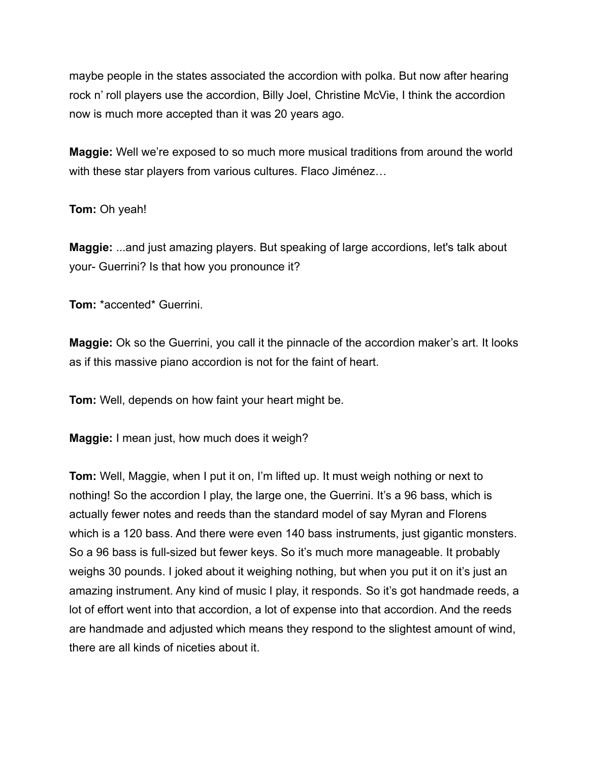maybe people in the states associated the accordion with polka. But now after hearing rock n' roll players use the accordion, Billy Joel, Christine McVie, I think the accordion now is much more accepted than it was 20 years ago.

**Maggie:** Well we're exposed to so much more musical traditions from around the world with these star players from various cultures. Flaco Jiménez…

## **Tom:** Oh yeah!

**Maggie:** ...and just amazing players. But speaking of large accordions, let's talk about your- Guerrini? Is that how you pronounce it?

**Tom:** \*accented\* Guerrini.

**Maggie:** Ok so the Guerrini, you call it the pinnacle of the accordion maker's art. It looks as if this massive piano accordion is not for the faint of heart.

**Tom:** Well, depends on how faint your heart might be.

**Maggie:** I mean just, how much does it weigh?

**Tom:** Well, Maggie, when I put it on, I'm lifted up. It must weigh nothing or next to nothing! So the accordion I play, the large one, the Guerrini. It's a 96 bass, which is actually fewer notes and reeds than the standard model of say Myran and Florens which is a 120 bass. And there were even 140 bass instruments, just gigantic monsters. So a 96 bass is full-sized but fewer keys. So it's much more manageable. It probably weighs 30 pounds. I joked about it weighing nothing, but when you put it on it's just an amazing instrument. Any kind of music I play, it responds. So it's got handmade reeds, a lot of effort went into that accordion, a lot of expense into that accordion. And the reeds are handmade and adjusted which means they respond to the slightest amount of wind, there are all kinds of niceties about it.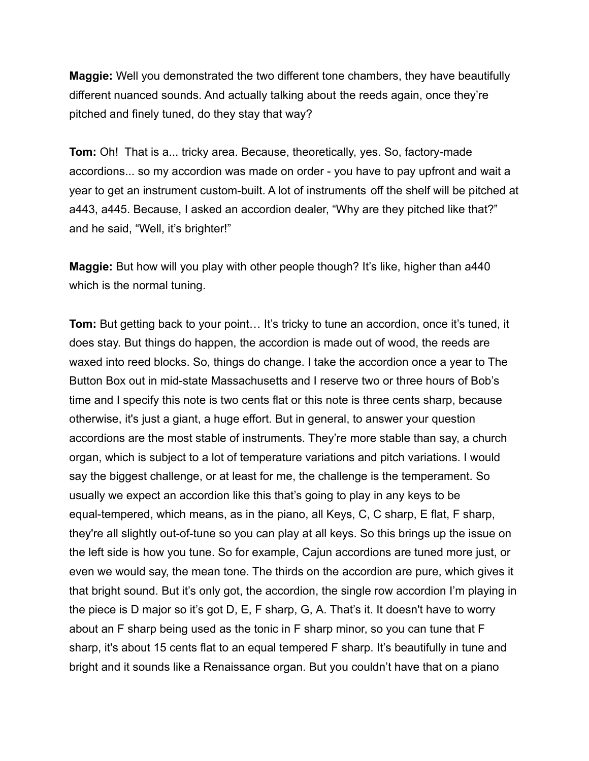**Maggie:** Well you demonstrated the two different tone chambers, they have beautifully different nuanced sounds. And actually talking about the reeds again, once they're pitched and finely tuned, do they stay that way?

**Tom:** Oh! That is a... tricky area. Because, theoretically, yes. So, factory-made accordions... so my accordion was made on order - you have to pay upfront and wait a year to get an instrument custom-built. A lot of instruments off the shelf will be pitched at a443, a445. Because, I asked an accordion dealer, "Why are they pitched like that?" and he said, "Well, it's brighter!"

**Maggie:** But how will you play with other people though? It's like, higher than a440 which is the normal tuning.

**Tom:** But getting back to your point… It's tricky to tune an accordion, once it's tuned, it does stay. But things do happen, the accordion is made out of wood, the reeds are waxed into reed blocks. So, things do change. I take the accordion once a year to The Button Box out in mid-state Massachusetts and I reserve two or three hours of Bob's time and I specify this note is two cents flat or this note is three cents sharp, because otherwise, it's just a giant, a huge effort. But in general, to answer your question accordions are the most stable of instruments. They're more stable than say, a church organ, which is subject to a lot of temperature variations and pitch variations. I would say the biggest challenge, or at least for me, the challenge is the temperament. So usually we expect an accordion like this that's going to play in any keys to be equal-tempered, which means, as in the piano, all Keys, C, C sharp, E flat, F sharp, they're all slightly out-of-tune so you can play at all keys. So this brings up the issue on the left side is how you tune. So for example, Cajun accordions are tuned more just, or even we would say, the mean tone. The thirds on the accordion are pure, which gives it that bright sound. But it's only got, the accordion, the single row accordion I'm playing in the piece is D major so it's got D, E, F sharp, G, A. That's it. It doesn't have to worry about an F sharp being used as the tonic in F sharp minor, so you can tune that F sharp, it's about 15 cents flat to an equal tempered F sharp. It's beautifully in tune and bright and it sounds like a Renaissance organ. But you couldn't have that on a piano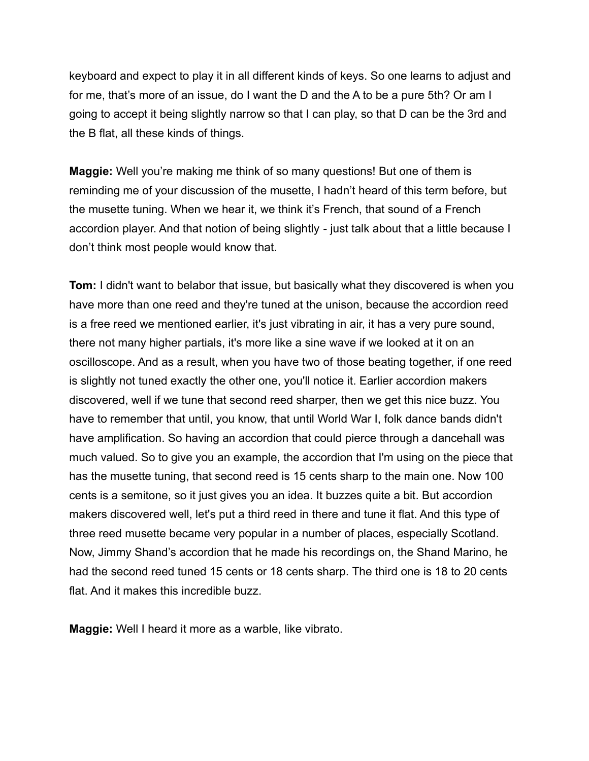keyboard and expect to play it in all different kinds of keys. So one learns to adjust and for me, that's more of an issue, do I want the D and the A to be a pure 5th? Or am I going to accept it being slightly narrow so that I can play, so that D can be the 3rd and the B flat, all these kinds of things.

**Maggie:** Well you're making me think of so many questions! But one of them is reminding me of your discussion of the musette, I hadn't heard of this term before, but the musette tuning. When we hear it, we think it's French, that sound of a French accordion player. And that notion of being slightly - just talk about that a little because I don't think most people would know that.

**Tom:** I didn't want to belabor that issue, but basically what they discovered is when you have more than one reed and they're tuned at the unison, because the accordion reed is a free reed we mentioned earlier, it's just vibrating in air, it has a very pure sound, there not many higher partials, it's more like a sine wave if we looked at it on an oscilloscope. And as a result, when you have two of those beating together, if one reed is slightly not tuned exactly the other one, you'll notice it. Earlier accordion makers discovered, well if we tune that second reed sharper, then we get this nice buzz. You have to remember that until, you know, that until World War I, folk dance bands didn't have amplification. So having an accordion that could pierce through a dancehall was much valued. So to give you an example, the accordion that I'm using on the piece that has the musette tuning, that second reed is 15 cents sharp to the main one. Now 100 cents is a semitone, so it just gives you an idea. It buzzes quite a bit. But accordion makers discovered well, let's put a third reed in there and tune it flat. And this type of three reed musette became very popular in a number of places, especially Scotland. Now, Jimmy Shand's accordion that he made his recordings on, the Shand Marino, he had the second reed tuned 15 cents or 18 cents sharp. The third one is 18 to 20 cents flat. And it makes this incredible buzz.

**Maggie:** Well I heard it more as a warble, like vibrato.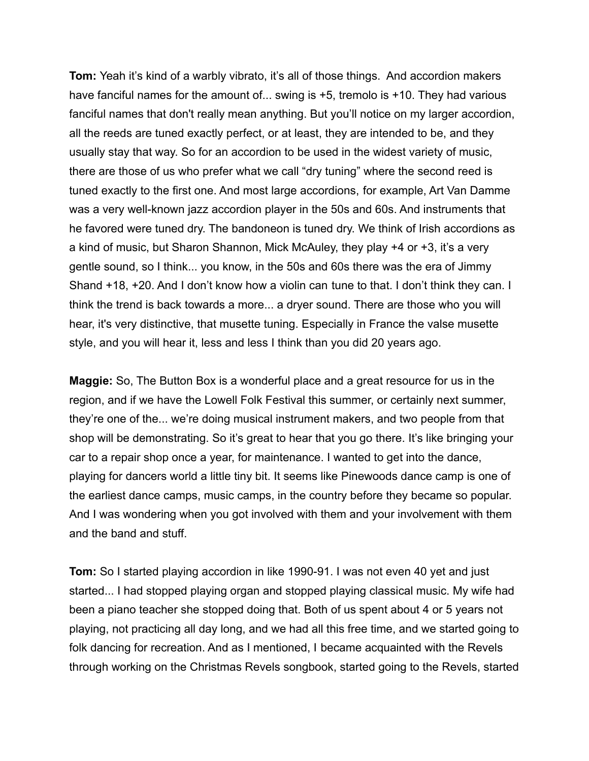**Tom:** Yeah it's kind of a warbly vibrato, it's all of those things. And accordion makers have fanciful names for the amount of... swing is +5, tremolo is +10. They had various fanciful names that don't really mean anything. But you'll notice on my larger accordion, all the reeds are tuned exactly perfect, or at least, they are intended to be, and they usually stay that way. So for an accordion to be used in the widest variety of music, there are those of us who prefer what we call "dry tuning" where the second reed is tuned exactly to the first one. And most large accordions, for example, Art Van Damme was a very well-known jazz accordion player in the 50s and 60s. And instruments that he favored were tuned dry. The bandoneon is tuned dry. We think of Irish accordions as a kind of music, but Sharon Shannon, Mick McAuley, they play +4 or +3, it's a very gentle sound, so I think... you know, in the 50s and 60s there was the era of Jimmy Shand +18, +20. And I don't know how a violin can tune to that. I don't think they can. I think the trend is back towards a more... a dryer sound. There are those who you will hear, it's very distinctive, that musette tuning. Especially in France the valse musette style, and you will hear it, less and less I think than you did 20 years ago.

**Maggie:** So, The Button Box is a wonderful place and a great resource for us in the region, and if we have the Lowell Folk Festival this summer, or certainly next summer, they're one of the... we're doing musical instrument makers, and two people from that shop will be demonstrating. So it's great to hear that you go there. It's like bringing your car to a repair shop once a year, for maintenance. I wanted to get into the dance, playing for dancers world a little tiny bit. It seems like Pinewoods dance camp is one of the earliest dance camps, music camps, in the country before they became so popular. And I was wondering when you got involved with them and your involvement with them and the band and stuff.

**Tom:** So I started playing accordion in like 1990-91. I was not even 40 yet and just started... I had stopped playing organ and stopped playing classical music. My wife had been a piano teacher she stopped doing that. Both of us spent about 4 or 5 years not playing, not practicing all day long, and we had all this free time, and we started going to folk dancing for recreation. And as I mentioned, I became acquainted with the Revels through working on the Christmas Revels songbook, started going to the Revels, started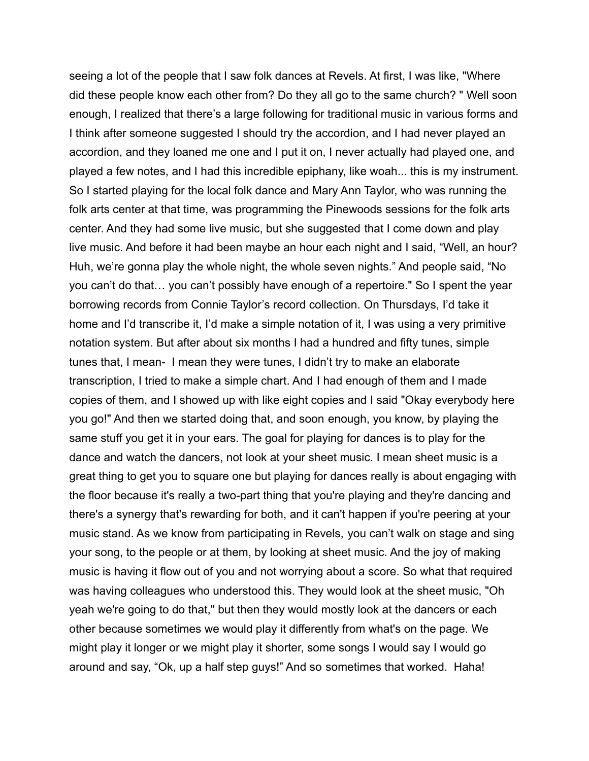seeing a lot of the people that I saw folk dances at Revels. At first, I was like, "Where did these people know each other from? Do they all go to the same church? " Well soon enough, I realized that there's a large following for traditional music in various forms and I think after someone suggested I should try the accordion, and I had never played an accordion, and they loaned me one and I put it on, I never actually had played one, and played a few notes, and I had this incredible epiphany, like woah... this is my instrument. So I started playing for the local folk dance and Mary Ann Taylor, who was running the folk arts center at that time, was programming the Pinewoods sessions for the folk arts center. And they had some live music, but she suggested that I come down and play live music. And before it had been maybe an hour each night and I said, "Well, an hour? Huh, we're gonna play the whole night, the whole seven nights." And people said, "No you can't do that… you can't possibly have enough of a repertoire." So I spent the year borrowing records from Connie Taylor's record collection. On Thursdays, I'd take it home and I'd transcribe it, I'd make a simple notation of it, I was using a very primitive notation system. But after about six months I had a hundred and fifty tunes, simple tunes that, I mean- I mean they were tunes, I didn't try to make an elaborate transcription, I tried to make a simple chart. And I had enough of them and I made copies of them, and I showed up with like eight copies and I said "Okay everybody here you go!" And then we started doing that, and soon enough, you know, by playing the same stuff you get it in your ears. The goal for playing for dances is to play for the dance and watch the dancers, not look at your sheet music. I mean sheet music is a great thing to get you to square one but playing for dances really is about engaging with the floor because it's really a two-part thing that you're playing and they're dancing and there's a synergy that's rewarding for both, and it can't happen if you're peering at your music stand. As we know from participating in Revels, you can't walk on stage and sing your song, to the people or at them, by looking at sheet music. And the joy of making music is having it flow out of you and not worrying about a score. So what that required was having colleagues who understood this. They would look at the sheet music, "Oh yeah we're going to do that," but then they would mostly look at the dancers or each other because sometimes we would play it differently from what's on the page. We might play it longer or we might play it shorter, some songs I would say I would go around and say, "Ok, up a half step guys!" And so sometimes that worked. Haha!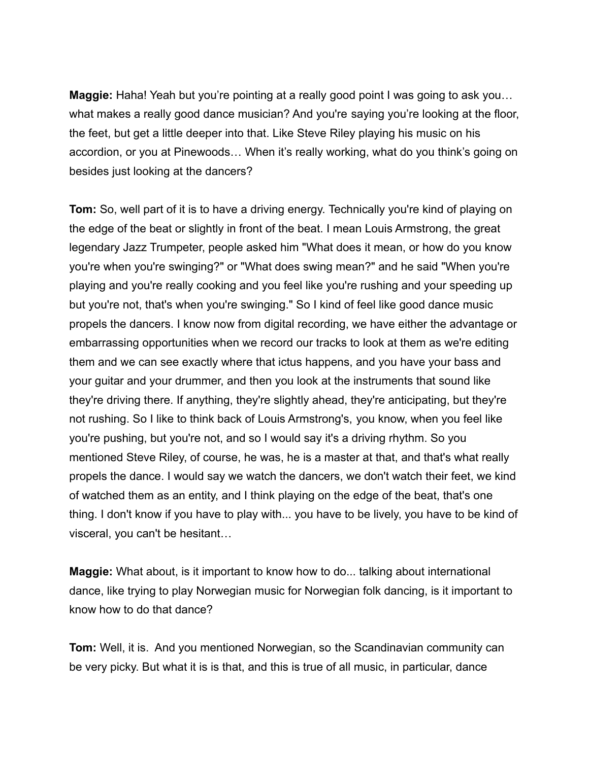**Maggie:** Haha! Yeah but you're pointing at a really good point I was going to ask you… what makes a really good dance musician? And you're saying you're looking at the floor, the feet, but get a little deeper into that. Like Steve Riley playing his music on his accordion, or you at Pinewoods… When it's really working, what do you think's going on besides just looking at the dancers?

**Tom:** So, well part of it is to have a driving energy. Technically you're kind of playing on the edge of the beat or slightly in front of the beat. I mean Louis Armstrong, the great legendary Jazz Trumpeter, people asked him "What does it mean, or how do you know you're when you're swinging?" or "What does swing mean?" and he said "When you're playing and you're really cooking and you feel like you're rushing and your speeding up but you're not, that's when you're swinging." So I kind of feel like good dance music propels the dancers. I know now from digital recording, we have either the advantage or embarrassing opportunities when we record our tracks to look at them as we're editing them and we can see exactly where that ictus happens, and you have your bass and your guitar and your drummer, and then you look at the instruments that sound like they're driving there. If anything, they're slightly ahead, they're anticipating, but they're not rushing. So I like to think back of Louis Armstrong's, you know, when you feel like you're pushing, but you're not, and so I would say it's a driving rhythm. So you mentioned Steve Riley, of course, he was, he is a master at that, and that's what really propels the dance. I would say we watch the dancers, we don't watch their feet, we kind of watched them as an entity, and I think playing on the edge of the beat, that's one thing. I don't know if you have to play with... you have to be lively, you have to be kind of visceral, you can't be hesitant…

**Maggie:** What about, is it important to know how to do... talking about international dance, like trying to play Norwegian music for Norwegian folk dancing, is it important to know how to do that dance?

**Tom:** Well, it is. And you mentioned Norwegian, so the Scandinavian community can be very picky. But what it is is that, and this is true of all music, in particular, dance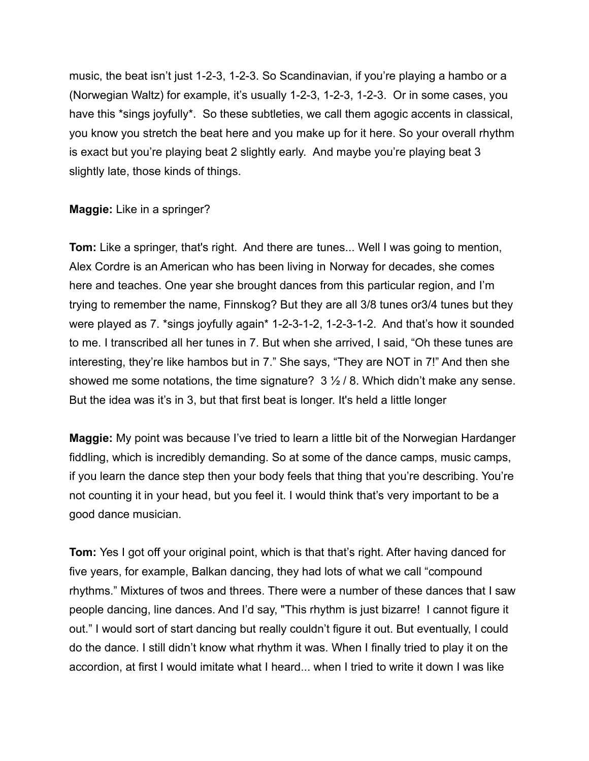music, the beat isn't just 1-2-3, 1-2-3. So Scandinavian, if you're playing a hambo or a (Norwegian Waltz) for example, it's usually 1-2-3, 1-2-3, 1-2-3. Or in some cases, you have this \*sings joyfully\*. So these subtleties, we call them agogic accents in classical, you know you stretch the beat here and you make up for it here. So your overall rhythm is exact but you're playing beat 2 slightly early. And maybe you're playing beat 3 slightly late, those kinds of things.

**Maggie:** Like in a springer?

**Tom:** Like a springer, that's right. And there are tunes... Well I was going to mention, Alex Cordre is an American who has been living in Norway for decades, she comes here and teaches. One year she brought dances from this particular region, and I'm trying to remember the name, Finnskog? But they are all 3/8 tunes or3/4 tunes but they were played as 7. \*sings joyfully again\* 1-2-3-1-2, 1-2-3-1-2. And that's how it sounded to me. I transcribed all her tunes in 7. But when she arrived, I said, "Oh these tunes are interesting, they're like hambos but in 7." She says, "They are NOT in 7!" And then she showed me some notations, the time signature?  $3\frac{1}{2}$  / 8. Which didn't make any sense. But the idea was it's in 3, but that first beat is longer. It's held a little longer

**Maggie:** My point was because I've tried to learn a little bit of the Norwegian Hardanger fiddling, which is incredibly demanding. So at some of the dance camps, music camps, if you learn the dance step then your body feels that thing that you're describing. You're not counting it in your head, but you feel it. I would think that's very important to be a good dance musician.

**Tom:** Yes I got off your original point, which is that that's right. After having danced for five years, for example, Balkan dancing, they had lots of what we call "compound rhythms." Mixtures of twos and threes. There were a number of these dances that I saw people dancing, line dances. And I'd say, "This rhythm is just bizarre! I cannot figure it out." I would sort of start dancing but really couldn't figure it out. But eventually, I could do the dance. I still didn't know what rhythm it was. When I finally tried to play it on the accordion, at first I would imitate what I heard... when I tried to write it down I was like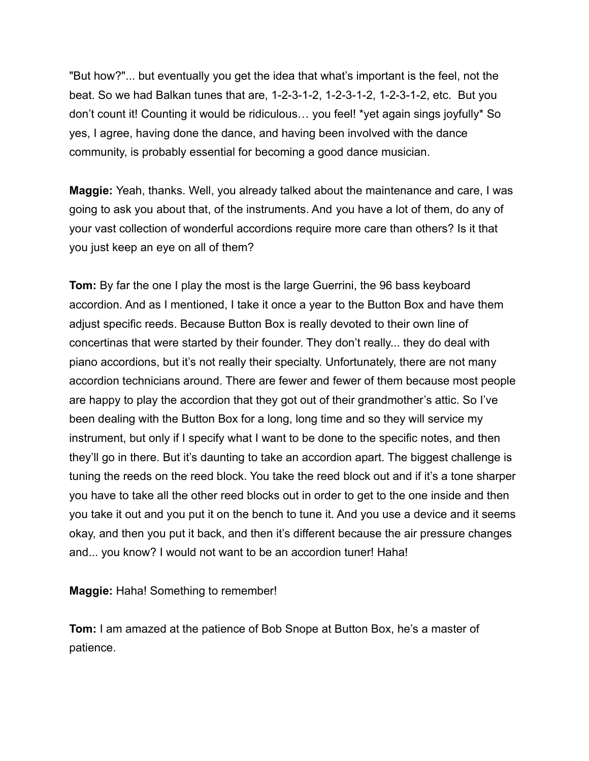"But how?"... but eventually you get the idea that what's important is the feel, not the beat. So we had Balkan tunes that are, 1-2-3-1-2, 1-2-3-1-2, 1-2-3-1-2, etc. But you don't count it! Counting it would be ridiculous… you feel! \*yet again sings joyfully\* So yes, I agree, having done the dance, and having been involved with the dance community, is probably essential for becoming a good dance musician.

**Maggie:** Yeah, thanks. Well, you already talked about the maintenance and care, I was going to ask you about that, of the instruments. And you have a lot of them, do any of your vast collection of wonderful accordions require more care than others? Is it that you just keep an eye on all of them?

**Tom:** By far the one I play the most is the large Guerrini, the 96 bass keyboard accordion. And as I mentioned, I take it once a year to the Button Box and have them adjust specific reeds. Because Button Box is really devoted to their own line of concertinas that were started by their founder. They don't really... they do deal with piano accordions, but it's not really their specialty. Unfortunately, there are not many accordion technicians around. There are fewer and fewer of them because most people are happy to play the accordion that they got out of their grandmother's attic. So I've been dealing with the Button Box for a long, long time and so they will service my instrument, but only if I specify what I want to be done to the specific notes, and then they'll go in there. But it's daunting to take an accordion apart. The biggest challenge is tuning the reeds on the reed block. You take the reed block out and if it's a tone sharper you have to take all the other reed blocks out in order to get to the one inside and then you take it out and you put it on the bench to tune it. And you use a device and it seems okay, and then you put it back, and then it's different because the air pressure changes and... you know? I would not want to be an accordion tuner! Haha!

**Maggie:** Haha! Something to remember!

**Tom:** I am amazed at the patience of Bob Snope at Button Box, he's a master of patience.